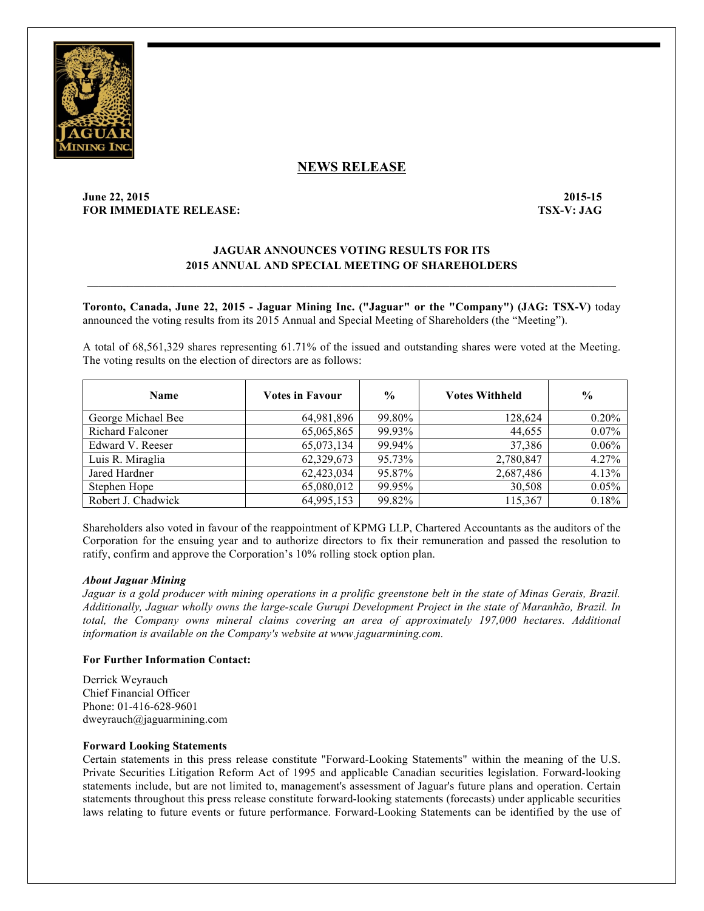

# **NEWS RELEASE**

## **June 22, 2015-15** 2015-15 **FOR IMMEDIATE RELEASE: TSX-V: JAG**

## **JAGUAR ANNOUNCES VOTING RESULTS FOR ITS 2015 ANNUAL AND SPECIAL MEETING OF SHAREHOLDERS**

**Toronto, Canada, June 22, 2015 - Jaguar Mining Inc. ("Jaguar" or the "Company") (JAG: TSX-V)** today announced the voting results from its 2015 Annual and Special Meeting of Shareholders (the "Meeting").

A total of 68,561,329 shares representing 61.71% of the issued and outstanding shares were voted at the Meeting. The voting results on the election of directors are as follows:

| <b>Name</b>             | <b>Votes in Favour</b> | $\frac{0}{0}$ | <b>Votes Withheld</b> | $\frac{0}{0}$ |
|-------------------------|------------------------|---------------|-----------------------|---------------|
| George Michael Bee      | 64,981,896             | 99.80%        | 128.624               | 0.20%         |
| <b>Richard Falconer</b> | 65,065,865             | 99.93%        | 44.655                | 0.07%         |
| Edward V. Reeser        | 65,073,134             | 99.94%        | 37,386                | 0.06%         |
| Luis R. Miraglia        | 62,329,673             | 95.73%        | 2,780,847             | 4.27%         |
| Jared Hardner           | 62,423,034             | 95.87%        | 2,687,486             | 4.13%         |
| Stephen Hope            | 65,080,012             | 99.95%        | 30,508                | 0.05%         |
| Robert J. Chadwick      | 64,995,153             | 99.82%        | 115,367               | 0.18%         |

Shareholders also voted in favour of the reappointment of KPMG LLP, Chartered Accountants as the auditors of the Corporation for the ensuing year and to authorize directors to fix their remuneration and passed the resolution to ratify, confirm and approve the Corporation's 10% rolling stock option plan.

#### *About Jaguar Mining*

*Jaguar is a gold producer with mining operations in a prolific greenstone belt in the state of Minas Gerais, Brazil. Additionally, Jaguar wholly owns the large-scale Gurupi Development Project in the state of Maranhão, Brazil. In total, the Company owns mineral claims covering an area of approximately 197,000 hectares. Additional information is available on the Company's website at www.jaguarmining.com.* 

## **For Further Information Contact:**

Derrick Weyrauch Chief Financial Officer Phone: 01-416-628-9601 dweyrauch@jaguarmining.com

## **Forward Looking Statements**

Certain statements in this press release constitute "Forward-Looking Statements" within the meaning of the U.S. Private Securities Litigation Reform Act of 1995 and applicable Canadian securities legislation. Forward-looking statements include, but are not limited to, management's assessment of Jaguar's future plans and operation. Certain statements throughout this press release constitute forward-looking statements (forecasts) under applicable securities laws relating to future events or future performance. Forward-Looking Statements can be identified by the use of